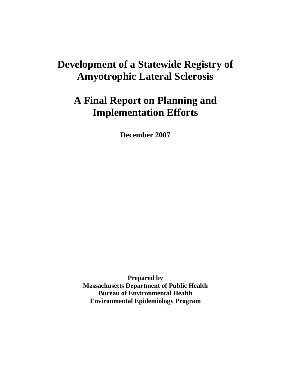# **Development of a Statewide Registry of Amyotrophic Lateral Sclerosis**

# **A Final Report on Planning and Implementation Efforts**

**December 2007**

**Prepared by Massachusetts Department of Public Health Bureau of Environmental Health Environmental Epidemiology Program**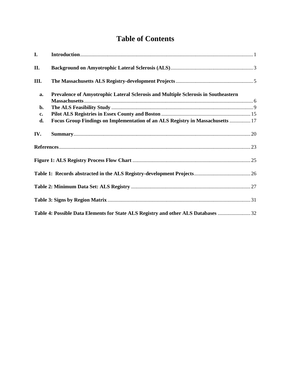## **Table of Contents**

| I.  |                                                                                    |  |
|-----|------------------------------------------------------------------------------------|--|
| II. |                                                                                    |  |
| Ш.  |                                                                                    |  |
| a.  | Prevalence of Amyotrophic Lateral Sclerosis and Multiple Sclerosis in Southeastern |  |
|     |                                                                                    |  |
| b.  |                                                                                    |  |
| c.  |                                                                                    |  |
| d.  | Focus Group Findings on Implementation of an ALS Registry in Massachusetts  17     |  |
| IV. |                                                                                    |  |
|     |                                                                                    |  |
|     |                                                                                    |  |
|     |                                                                                    |  |
|     |                                                                                    |  |
|     |                                                                                    |  |
|     |                                                                                    |  |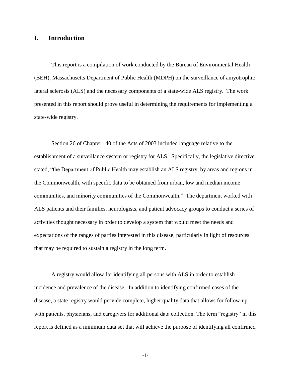#### <span id="page-2-0"></span>**I. Introduction**

This report is a compilation of work conducted by the Bureau of Environmental Health (BEH), Massachusetts Department of Public Health (MDPH) on the surveillance of amyotrophic lateral sclerosis (ALS) and the necessary components of a state-wide ALS registry. The work presented in this report should prove useful in determining the requirements for implementing a state-wide registry.

Section 26 of Chapter 140 of the Acts of 2003 included language relative to the establishment of a surveillance system or registry for ALS. Specifically, the legislative directive stated, "the Department of Public Health may establish an ALS registry, by areas and regions in the Commonwealth, with specific data to be obtained from urban, low and median income communities, and minority communities of the Commonwealth." The department worked with ALS patients and their families, neurologists, and patient advocacy groups to conduct a series of activities thought necessary in order to develop a system that would meet the needs and expectations of the ranges of parties interested in this disease, particularly in light of resources that may be required to sustain a registry in the long term.

A registry would allow for identifying all persons with ALS in order to establish incidence and prevalence of the disease. In addition to identifying confirmed cases of the disease, a state registry would provide complete, higher quality data that allows for follow-up with patients, physicians, and caregivers for additional data collection. The term "registry" in this report is defined as a minimum data set that will achieve the purpose of identifying all confirmed

-1-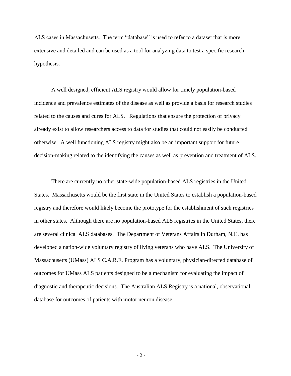ALS cases in Massachusetts. The term "database" is used to refer to a dataset that is more extensive and detailed and can be used as a tool for analyzing data to test a specific research hypothesis.

A well designed, efficient ALS registry would allow for timely population-based incidence and prevalence estimates of the disease as well as provide a basis for research studies related to the causes and cures for ALS. Regulations that ensure the protection of privacy already exist to allow researchers access to data for studies that could not easily be conducted otherwise. A well functioning ALS registry might also be an important support for future decision-making related to the identifying the causes as well as prevention and treatment of ALS.

There are currently no other state-wide population-based ALS registries in the United States. Massachusetts would be the first state in the United States to establish a population-based registry and therefore would likely become the prototype for the establishment of such registries in other states. Although there are no population-based ALS registries in the United States, there are several clinical ALS databases. The Department of Veterans Affairs in Durham, N.C. has developed a nation-wide voluntary registry of living veterans who have ALS. The University of Massachusetts (UMass) ALS C.A.R.E. Program has a voluntary, physician-directed database of outcomes for UMass ALS patients designed to be a mechanism for evaluating the impact of diagnostic and therapeutic decisions. The Australian ALS Registry is a national, observational database for outcomes of patients with motor neuron disease.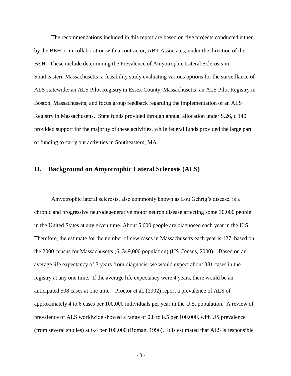The recommendations included in this report are based on five projects conducted either by the BEH or in collaboration with a contractor, ABT Associates, under the direction of the BEH. These include determining the Prevalence of Amyotrophic Lateral Sclerosis in Southeastern Massachusetts; a feasibility study evaluating various options for the surveillance of ALS statewide; an ALS Pilot Registry in Essex County, Massachusetts; an ALS Pilot Registry in Boston, Massachusetts; and focus group feedback regarding the implementation of an ALS Registry in Massachusetts. State funds provided through annual allocation under S.26, c.140 provided support for the majority of these activities, while federal funds provided the large part of funding to carry out activities in Southeastern, MA.

#### <span id="page-4-0"></span>**II. Background on Amyotrophic Lateral Sclerosis (ALS)**

Amyotrophic lateral sclerosis, also commonly known as Lou Gehrig's disease, is a chronic and progressive neurodegenerative motor neuron disease affecting some 30,000 people in the United States at any given time. About 5,600 people are diagnosed each year in the U.S. Therefore, the estimate for the number of new cases in Massachusetts each year is 127, based on the 2000 census for Massachusetts (6, 349,000 population) (US Census, 2000). Based on an average life expectancy of 3 years from diagnosis, we would expect about 381 cases in the registry at any one time. If the average life expectancy were 4 years, there would be an anticipated 508 cases at one time. Proctor et al. (1992) report a prevalence of ALS of approximately 4 to 6 cases per 100,000 individuals per year in the U.S. population. A review of prevalence of ALS worldwide showed a range of 0.8 to 8.5 per 100,000, with US prevalence (from several studies) at 6.4 per 100,000 (Roman, 1996). It is estimated that ALS is responsible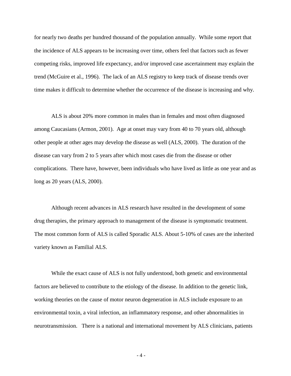for nearly two deaths per hundred thousand of the population annually. While some report that the incidence of ALS appears to be increasing over time, others feel that factors such as fewer competing risks, improved life expectancy, and/or improved case ascertainment may explain the trend (McGuire et al., 1996). The lack of an ALS registry to keep track of disease trends over time makes it difficult to determine whether the occurrence of the disease is increasing and why.

ALS is about 20% more common in males than in females and most often diagnosed among Caucasians (Armon, 2001). Age at onset may vary from 40 to 70 years old, although other people at other ages may develop the disease as well (ALS, 2000). The duration of the disease can vary from 2 to 5 years after which most cases die from the disease or other complications. There have, however, been individuals who have lived as little as one year and as long as 20 years (ALS, 2000).

Although recent advances in ALS research have resulted in the development of some drug therapies, the primary approach to management of the disease is symptomatic treatment. The most common form of ALS is called Sporadic ALS. About 5-10% of cases are the inherited variety known as Familial ALS.

While the exact cause of ALS is not fully understood, both genetic and environmental factors are believed to contribute to the etiology of the disease. In addition to the genetic link, working theories on the cause of motor neuron degeneration in ALS include exposure to an environmental toxin, a viral infection, an inflammatory response, and other abnormalities in neurotransmission. There is a national and international movement by ALS clinicians, patients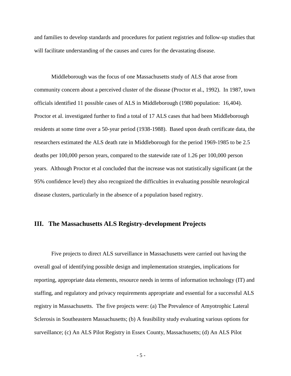and families to develop standards and procedures for patient registries and follow-up studies that will facilitate understanding of the causes and cures for the devastating disease.

Middleborough was the focus of one Massachusetts study of ALS that arose from community concern about a perceived cluster of the disease (Proctor et al., 1992). In 1987, town officials identified 11 possible cases of ALS in Middleborough (1980 population: 16,404). Proctor et al. investigated further to find a total of 17 ALS cases that had been Middleborough residents at some time over a 50-year period (1938-1988). Based upon death certificate data, the researchers estimated the ALS death rate in Middleborough for the period 1969-1985 to be 2.5 deaths per 100,000 person years, compared to the statewide rate of 1.26 per 100,000 person years. Although Proctor et al concluded that the increase was not statistically significant (at the 95% confidence level) they also recognized the difficulties in evaluating possible neurological disease clusters, particularly in the absence of a population based registry.

#### <span id="page-6-0"></span>**III. The Massachusetts ALS Registry-development Projects**

Five projects to direct ALS surveillance in Massachusetts were carried out having the overall goal of identifying possible design and implementation strategies, implications for reporting, appropriate data elements, resource needs in terms of information technology (IT) and staffing, and regulatory and privacy requirements appropriate and essential for a successful ALS registry in Massachusetts. The five projects were: (a) The Prevalence of Amyotrophic Lateral Sclerosis in Southeastern Massachusetts; (b) A feasibility study evaluating various options for surveillance; (c) An ALS Pilot Registry in Essex County, Massachusetts; (d) An ALS Pilot

- 5 -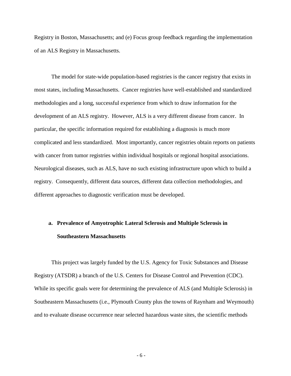Registry in Boston, Massachusetts; and (e) Focus group feedback regarding the implementation of an ALS Registry in Massachusetts.

The model for state-wide population-based registries is the cancer registry that exists in most states, including Massachusetts. Cancer registries have well-established and standardized methodologies and a long, successful experience from which to draw information for the development of an ALS registry. However, ALS is a very different disease from cancer. In particular, the specific information required for establishing a diagnosis is much more complicated and less standardized. Most importantly, cancer registries obtain reports on patients with cancer from tumor registries within individual hospitals or regional hospital associations. Neurological diseases, such as ALS, have no such existing infrastructure upon which to build a registry. Consequently, different data sources, different data collection methodologies, and different approaches to diagnostic verification must be developed.

## <span id="page-7-0"></span>**a. Prevalence of Amyotrophic Lateral Sclerosis and Multiple Sclerosis in Southeastern Massachusetts**

This project was largely funded by the U.S. Agency for Toxic Substances and Disease Registry (ATSDR) a branch of the U.S. Centers for Disease Control and Prevention (CDC). While its specific goals were for determining the prevalence of ALS (and Multiple Sclerosis) in Southeastern Massachusetts (i.e., Plymouth County plus the towns of Raynham and Weymouth) and to evaluate disease occurrence near selected hazardous waste sites, the scientific methods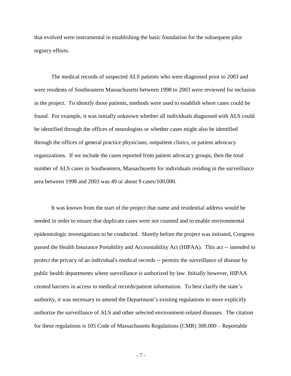that evolved were instrumental in establishing the basic foundation for the subsequent pilot registry efforts.

The medical records of suspected ALS patients who were diagnosed prior to 2003 and were residents of Southeastern Massachusetts between 1998 to 2003 were reviewed for inclusion in the project. To identify those patients, methods were used to establish where cases could be found. For example, it was initially unknown whether all individuals diagnosed with ALS could be identified through the offices of neurologists or whether cases might also be identified through the offices of general practice physicians, outpatient clinics, or patient advocacy organizations. If we include the cases reported from patient advocacy groups, then the total number of ALS cases in Southeastern, Massachusetts for individuals residing in the surveillance area between 1998 and 2003 was 49 or about 9 cases/100,000.

It was known from the start of the project that name and residential address would be needed in order to ensure that duplicate cases were not counted and to enable environmental epidemiologic investigations to be conducted. Shortly before the project was initiated, Congress passed the Health Insurance Portability and Accountability Act (HIPAA). This act -- intended to protect the privacy of an individual's medical records -- permits the surveillance of disease by public health departments where surveillance is authorized by law. Initially however, HIPAA created barriers in access to medical records/patient information. To best clarify the state's authority, it was necessary to amend the Department's existing regulations to more explicitly authorize the surveillance of ALS and other selected environment-related diseases. The citation for these regulations is 105 Code of Massachusetts Regulations (CMR) 300.000 – Reportable

- 7 -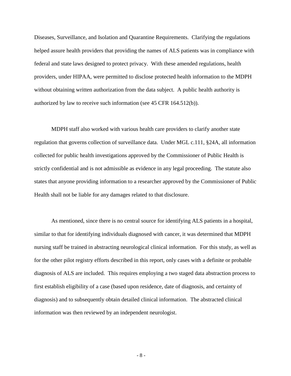Diseases, Surveillance, and Isolation and Quarantine Requirements. Clarifying the regulations helped assure health providers that providing the names of ALS patients was in compliance with federal and state laws designed to protect privacy. With these amended regulations, health providers, under HIPAA, were permitted to disclose protected health information to the MDPH without obtaining written authorization from the data subject. A public health authority is authorized by law to receive such information (see 45 CFR 164.512(b)).

MDPH staff also worked with various health care providers to clarify another state regulation that governs collection of surveillance data. Under MGL c.111, §24A, all information collected for public health investigations approved by the Commissioner of Public Health is strictly confidential and is not admissible as evidence in any legal proceeding. The statute also states that anyone providing information to a researcher approved by the Commissioner of Public Health shall not be liable for any damages related to that disclosure.

As mentioned, since there is no central source for identifying ALS patients in a hospital, similar to that for identifying individuals diagnosed with cancer, it was determined that MDPH nursing staff be trained in abstracting neurological clinical information. For this study, as well as for the other pilot registry efforts described in this report, only cases with a definite or probable diagnosis of ALS are included. This requires employing a two staged data abstraction process to first establish eligibility of a case (based upon residence, date of diagnosis, and certainty of diagnosis) and to subsequently obtain detailed clinical information. The abstracted clinical information was then reviewed by an independent neurologist.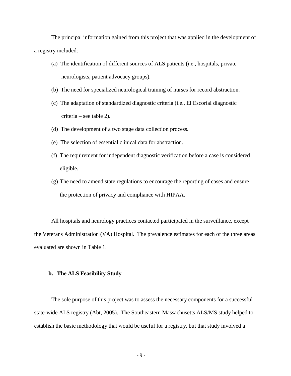The principal information gained from this project that was applied in the development of a registry included:

- (a) The identification of different sources of ALS patients (i.e., hospitals, private neurologists, patient advocacy groups).
- (b) The need for specialized neurological training of nurses for record abstraction.
- (c) The adaptation of standardized diagnostic criteria (i.e., El Escorial diagnostic criteria – see table 2).
- (d) The development of a two stage data collection process.
- (e) The selection of essential clinical data for abstraction.
- (f) The requirement for independent diagnostic verification before a case is considered eligible.
- (g) The need to amend state regulations to encourage the reporting of cases and ensure the protection of privacy and compliance with HIPAA.

All hospitals and neurology practices contacted participated in the surveillance, except the Veterans Administration (VA) Hospital. The prevalence estimates for each of the three areas evaluated are shown in Table 1.

#### <span id="page-10-0"></span>**b. The ALS Feasibility Study**

The sole purpose of this project was to assess the necessary components for a successful state-wide ALS registry (Abt, 2005). The Southeastern Massachusetts ALS/MS study helped to establish the basic methodology that would be useful for a registry, but that study involved a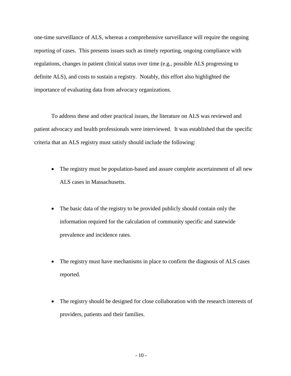one-time surveillance of ALS, whereas a comprehensive surveillance will require the ongoing reporting of cases. This presents issues such as timely reporting, ongoing compliance with regulations, changes in patient clinical status over time (e.g., possible ALS progressing to definite ALS), and costs to sustain a registry. Notably, this effort also highlighted the importance of evaluating data from advocacy organizations.

To address these and other practical issues, the literature on ALS was reviewed and patient advocacy and health professionals were interviewed. It was established that the specific criteria that an ALS registry must satisfy should include the following:

- The registry must be population-based and assure complete ascertainment of all new ALS cases in Massachusetts.
- The basic data of the registry to be provided publicly should contain only the information required for the calculation of community specific and statewide prevalence and incidence rates.
- The registry must have mechanisms in place to confirm the diagnosis of ALS cases reported.
- The registry should be designed for close collaboration with the research interests of providers, patients and their families.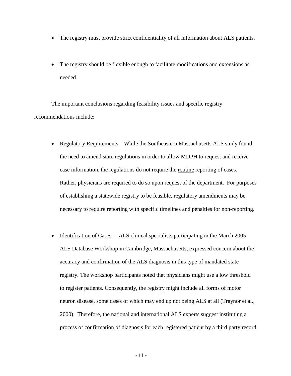- The registry must provide strict confidentiality of all information about ALS patients.
- The registry should be flexible enough to facilitate modifications and extensions as needed.

The important conclusions regarding feasibility issues and specific registry recommendations include:

- Regulatory Requirements While the Southeastern Massachusetts ALS study found the need to amend state regulations in order to allow MDPH to request and receive case information, the regulations do not require the routine reporting of cases. Rather, physicians are required to do so upon request of the department. For purposes of establishing a statewide registry to be feasible, regulatory amendments may be necessary to require reporting with specific timelines and penalties for non-reporting.
- Identification of Cases ALS clinical specialists participating in the March 2005 ALS Database Workshop in Cambridge, Massachusetts, expressed concern about the accuracy and confirmation of the ALS diagnosis in this type of mandated state registry. The workshop participants noted that physicians might use a low threshold to register patients. Consequently, the registry might include all forms of motor neuron disease, some cases of which may end up not being ALS at all (Traynor et al., 2000). Therefore, the national and international ALS experts suggest instituting a process of confirmation of diagnosis for each registered patient by a third party record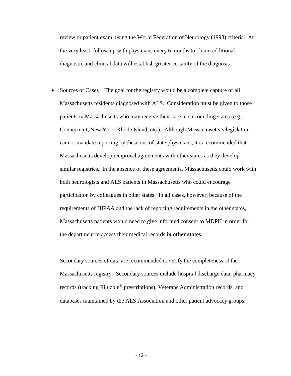review or patient exam, using the World Federation of Neurology (1998) criteria. At the very least, follow-up with physicians every 6 months to obtain additional diagnostic and clinical data will establish greater certainty of the diagnosis.

• Sources of Cases The goal for the registry would be a complete capture of all Massachusetts residents diagnosed with ALS. Consideration must be given to those patients in Massachusetts who may receive their care in surrounding states (e.g., Connecticut, New York, Rhode Island, etc.). Although Massachusetts's legislation cannot mandate reporting by these out-of-state physicians, it is recommended that Massachusetts develop reciprocal agreements with other states as they develop similar registries. In the absence of these agreements, Massachusetts could work with both neurologists and ALS patients in Massachusetts who could encourage participation by colleagues in other states. In all cases, however, because of the requirements of HIPAA and the lack of reporting requirements in the other states, Massachusetts patients would need to give informed consent to MDPH in order for the department to access their medical records **in other states**.

Secondary sources of data are recommended to verify the completeness of the Massachusetts registry. Secondary sources include hospital discharge data, pharmacy records (tracking Riluzole® prescriptions), Veterans Administration records, and databases maintained by the ALS Association and other patient advocacy groups.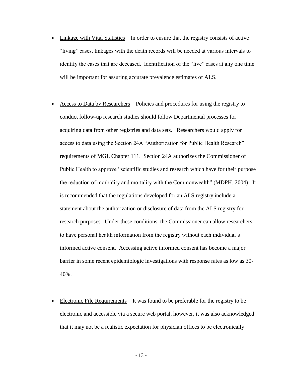- Linkage with Vital Statistics In order to ensure that the registry consists of active "living" cases, linkages with the death records will be needed at various intervals to identify the cases that are deceased. Identification of the "live" cases at any one time will be important for assuring accurate prevalence estimates of ALS.
- Access to Data by Researchers Policies and procedures for using the registry to conduct follow-up research studies should follow Departmental processes for acquiring data from other registries and data sets. Researchers would apply for access to data using the Section 24A "Authorization for Public Health Research" requirements of MGL Chapter 111. Section 24A authorizes the Commissioner of Public Health to approve "scientific studies and research which have for their purpose the reduction of morbidity and mortality with the Commonwealth" (MDPH, 2004). It is recommended that the regulations developed for an ALS registry include a statement about the authorization or disclosure of data from the ALS registry for research purposes. Under these conditions, the Commissioner can allow researchers to have personal health information from the registry without each individual's informed active consent. Accessing active informed consent has become a major barrier in some recent epidemiologic investigations with response rates as low as 30- 40%.
- Electronic File Requirements It was found to be preferable for the registry to be electronic and accessible via a secure web portal, however, it was also acknowledged that it may not be a realistic expectation for physician offices to be electronically

- 13 -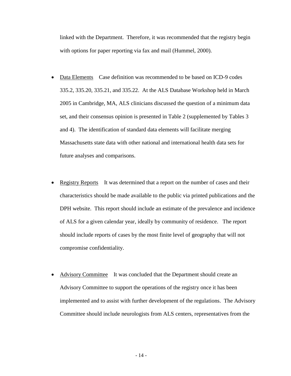linked with the Department. Therefore, it was recommended that the registry begin with options for paper reporting via fax and mail (Hummel, 2000).

- Data Elements Case definition was recommended to be based on ICD-9 codes 335.2, 335.20, 335.21, and 335.22. At the ALS Database Workshop held in March 2005 in Cambridge, MA, ALS clinicians discussed the question of a minimum data set, and their consensus opinion is presented in Table 2 (supplemented by Tables 3 and 4). The identification of standard data elements will facilitate merging Massachusetts state data with other national and international health data sets for future analyses and comparisons.
- Registry Reports It was determined that a report on the number of cases and their characteristics should be made available to the public via printed publications and the DPH website. This report should include an estimate of the prevalence and incidence of ALS for a given calendar year, ideally by community of residence. The report should include reports of cases by the most finite level of geography that will not compromise confidentiality.
- Advisory Committee It was concluded that the Department should create an Advisory Committee to support the operations of the registry once it has been implemented and to assist with further development of the regulations. The Advisory Committee should include neurologists from ALS centers, representatives from the

- 14 -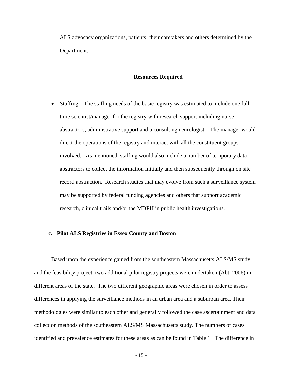ALS advocacy organizations, patients, their caretakers and others determined by the Department.

#### **Resources Required**

• Staffing The staffing needs of the basic registry was estimated to include one full time scientist/manager for the registry with research support including nurse abstractors, administrative support and a consulting neurologist. The manager would direct the operations of the registry and interact with all the constituent groups involved. As mentioned, staffing would also include a number of temporary data abstractors to collect the information initially and then subsequently through on site record abstraction. Research studies that may evolve from such a surveillance system may be supported by federal funding agencies and others that support academic research, clinical trails and/or the MDPH in public health investigations.

#### <span id="page-16-0"></span>**c. Pilot ALS Registries in Essex County and Boston**

Based upon the experience gained from the southeastern Massachusetts ALS/MS study and the feasibility project, two additional pilot registry projects were undertaken (Abt, 2006) in different areas of the state. The two different geographic areas were chosen in order to assess differences in applying the surveillance methods in an urban area and a suburban area. Their methodologies were similar to each other and generally followed the case ascertainment and data collection methods of the southeastern ALS/MS Massachusetts study. The numbers of cases identified and prevalence estimates for these areas as can be found in Table 1. The difference in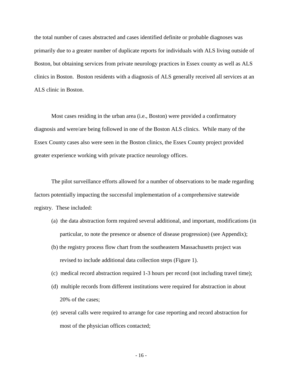the total number of cases abstracted and cases identified definite or probable diagnoses was primarily due to a greater number of duplicate reports for individuals with ALS living outside of Boston, but obtaining services from private neurology practices in Essex county as well as ALS clinics in Boston. Boston residents with a diagnosis of ALS generally received all services at an ALS clinic in Boston.

Most cases residing in the urban area (i.e., Boston) were provided a confirmatory diagnosis and were/are being followed in one of the Boston ALS clinics. While many of the Essex County cases also were seen in the Boston clinics, the Essex County project provided greater experience working with private practice neurology offices.

The pilot surveillance efforts allowed for a number of observations to be made regarding factors potentially impacting the successful implementation of a comprehensive statewide registry. These included:

- (a) the data abstraction form required several additional, and important, modifications (in particular, to note the presence or absence of disease progression) (see Appendix);
- (b) the registry process flow chart from the southeastern Massachusetts project was revised to include additional data collection steps (Figure 1).
- (c) medical record abstraction required 1-3 hours per record (not including travel time);
- (d) multiple records from different institutions were required for abstraction in about 20% of the cases;
- (e) several calls were required to arrange for case reporting and record abstraction for most of the physician offices contacted;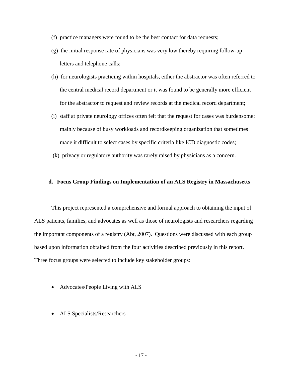- (f) practice managers were found to be the best contact for data requests;
- (g) the initial response rate of physicians was very low thereby requiring follow-up letters and telephone calls;
- (h) for neurologists practicing within hospitals, either the abstractor was often referred to the central medical record department or it was found to be generally more efficient for the abstractor to request and review records at the medical record department;
- (i) staff at private neurology offices often felt that the request for cases was burdensome; mainly because of busy workloads and recordkeeping organization that sometimes made it difficult to select cases by specific criteria like ICD diagnostic codes;
- (k) privacy or regulatory authority was rarely raised by physicians as a concern.

#### <span id="page-18-0"></span>**d. Focus Group Findings on Implementation of an ALS Registry in Massachusetts**

This project represented a comprehensive and formal approach to obtaining the input of ALS patients, families, and advocates as well as those of neurologists and researchers regarding the important components of a registry (Abt, 2007). Questions were discussed with each group based upon information obtained from the four activities described previously in this report. Three focus groups were selected to include key stakeholder groups:

- Advocates/People Living with ALS
- ALS Specialists/Researchers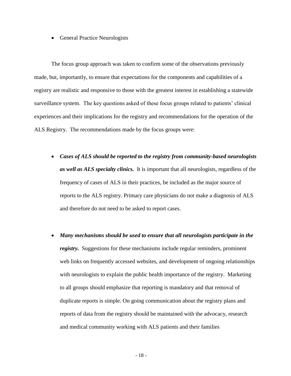• General Practice Neurologists

The focus group approach was taken to confirm some of the observations previously made, but, importantly, to ensure that expectations for the components and capabilities of a registry are realistic and responsive to those with the greatest interest in establishing a statewide surveillance system. The key questions asked of these focus groups related to patients' clinical experiences and their implications for the registry and recommendations for the operation of the ALS Registry. The recommendations made by the focus groups were:

- *Cases of ALS should be reported to the registry from community-based neurologists as well as ALS specialty clinics.* It is important that all neurologists, regardless of the frequency of cases of ALS in their practices, be included as the major source of reports to the ALS registry. Primary care physicians do not make a diagnosis of ALS and therefore do not need to be asked to report cases.
- *Many mechanisms should be used to ensure that all neurologists participate in the registry.* Suggestions for these mechanisms include regular reminders, prominent web links on frequently accessed websites, and development of ongoing relationships with neurologists to explain the public health importance of the registry. Marketing to all groups should emphasize that reporting is mandatory and that removal of duplicate reports is simple. On going communication about the registry plans and reports of data from the registry should be maintained with the advocacy, research and medical community working with ALS patients and their families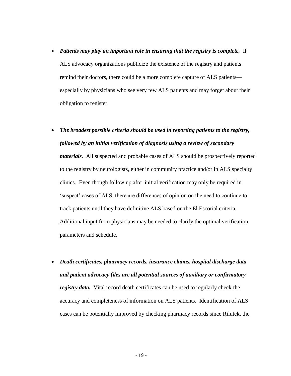- *Patients may play an important role in ensuring that the registry is complete.* If ALS advocacy organizations publicize the existence of the registry and patients remind their doctors, there could be a more complete capture of ALS patients especially by physicians who see very few ALS patients and may forget about their obligation to register.
- *The broadest possible criteria should be used in reporting patients to the registry, followed by an initial verification of diagnosis using a review of secondary*

*materials.* All suspected and probable cases of ALS should be prospectively reported to the registry by neurologists, either in community practice and/or in ALS specialty clinics. Even though follow up after initial verification may only be required in 'suspect' cases of ALS, there are differences of opinion on the need to continue to track patients until they have definitive ALS based on the El Escorial criteria. Additional input from physicians may be needed to clarify the optimal verification parameters and schedule.

 *Death certificates, pharmacy records, insurance claims, hospital discharge data and patient advocacy files are all potential sources of auxiliary or confirmatory registry data.* Vital record death certificates can be used to regularly check the accuracy and completeness of information on ALS patients. Identification of ALS cases can be potentially improved by checking pharmacy records since Rilutek, the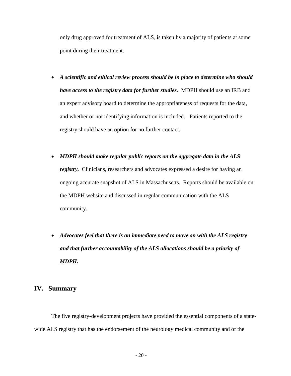only drug approved for treatment of ALS, is taken by a majority of patients at some point during their treatment.

- *A scientific and ethical review process should be in place to determine who should have access to the registry data for further studies.* MDPH should use an IRB and an expert advisory board to determine the appropriateness of requests for the data, and whether or not identifying information is included. Patients reported to the registry should have an option for no further contact.
- *MDPH should make regular public reports on the aggregate data in the ALS registry.* Clinicians, researchers and advocates expressed a desire for having an ongoing accurate snapshot of ALS in Massachusetts. Reports should be available on the MDPH website and discussed in regular communication with the ALS community.
- *Advocates feel that there is an immediate need to move on with the ALS registry and that further accountability of the ALS allocations should be a priority of MDPH.*

#### <span id="page-21-0"></span>**IV. Summary**

The five registry-development projects have provided the essential components of a statewide ALS registry that has the endorsement of the neurology medical community and of the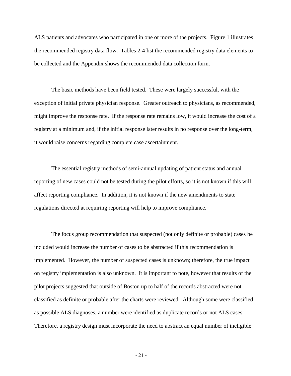ALS patients and advocates who participated in one or more of the projects. Figure 1 illustrates the recommended registry data flow. Tables 2-4 list the recommended registry data elements to be collected and the Appendix shows the recommended data collection form.

The basic methods have been field tested. These were largely successful, with the exception of initial private physician response. Greater outreach to physicians, as recommended, might improve the response rate. If the response rate remains low, it would increase the cost of a registry at a minimum and, if the initial response later results in no response over the long-term, it would raise concerns regarding complete case ascertainment.

The essential registry methods of semi-annual updating of patient status and annual reporting of new cases could not be tested during the pilot efforts, so it is not known if this will affect reporting compliance. In addition, it is not known if the new amendments to state regulations directed at requiring reporting will help to improve compliance.

The focus group recommendation that suspected (not only definite or probable) cases be included would increase the number of cases to be abstracted if this recommendation is implemented. However, the number of suspected cases is unknown; therefore, the true impact on registry implementation is also unknown. It is important to note, however that results of the pilot projects suggested that outside of Boston up to half of the records abstracted were not classified as definite or probable after the charts were reviewed. Although some were classified as possible ALS diagnoses, a number were identified as duplicate records or not ALS cases. Therefore, a registry design must incorporate the need to abstract an equal number of ineligible

- 21 -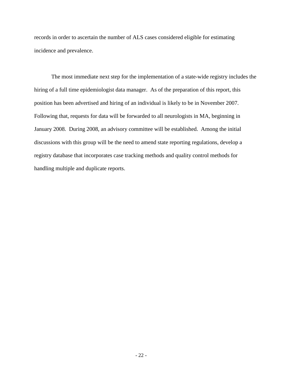records in order to ascertain the number of ALS cases considered eligible for estimating incidence and prevalence.

The most immediate next step for the implementation of a state-wide registry includes the hiring of a full time epidemiologist data manager. As of the preparation of this report, this position has been advertised and hiring of an individual is likely to be in November 2007. Following that, requests for data will be forwarded to all neurologists in MA, beginning in January 2008. During 2008, an advisory committee will be established. Among the initial discussions with this group will be the need to amend state reporting regulations, develop a registry database that incorporates case tracking methods and quality control methods for handling multiple and duplicate reports.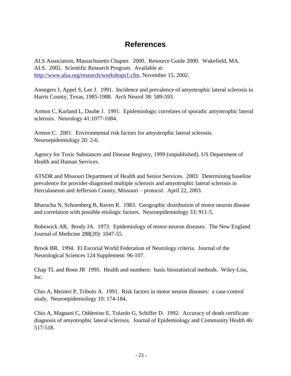### **References**

<span id="page-24-0"></span>ALS Association, Massachusetts Chapter. 2000. Resource Guide 2000. Wakefield, MA. ALS. 2002. Scientific Research Program. Available at: [http://www.alsa.org/research/workshops1.cfm.](http://www.alsa.org/research/workshops1.cfm) November 15, 2002.

Annegers J, Appel S, Lee J. 1991. Incidence and prevalence of amyotrophic lateral sclerosis in Harris County, Texas, 1985-1988. Arch Neurol 38: 589-593.

Armon C, Kurland L, Daube J. 1991. Epidemiologic correlates of sporadic amyotrophic lateral sclerosis. Neurology 41:1077-1084.

Armon C. 2001. Environmental risk factors for amyotrophic lateral sclerosis. Neuroepidemiology 20: 2-6.

Agency for Toxic Substances and Disease Registry, 1999 (unpublished). US Department of Health and Human Services.

ATSDR and Missouri Department of Health and Senior Services. 2003. Determining baseline prevalence for provider-diagnosed multiple sclerosis and amyotrophic lateral sclerosis in Herculaneum and Jefferson County, Missouri – protocol. April 22, 2003.

Bharucha N, Schoenberg B, Raven R. 1983. Geographic distribution of motor neuron disease and correlation with possible etiologic factors. Neuroepidemiology 33: 911-5.

Bobowick AR, Brody JA. 1973. Epidemiology of motor-neuron diseases. The New England Journal of Medicine 288(20): 1047-55.

Brook BR. 1994. El Escorial World Federation of Neurology criteria. Journal of the Neurological Sciences 124 Supplement: 96-107.

Chap TL and Boen JR 1995. Health and numbers: basic biostatistical methods. Wiley-Liss, Inc.

Chio A, Meineri P, Tribolo A. 1991. Risk factors in motor neuron diseases: a case-control study. Neuroepidemiology 10: 174-184.

Chio A, Magnani C, Oddenino E, Tolardo G, Schiffer D. 1992. Accuracy of death certificate diagnosis of amyotrophic lateral sclerosis. Journal of Epidemiology and Community Health 46: 517-518.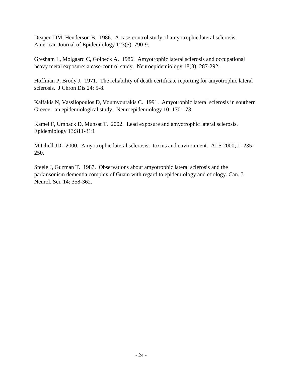Deapen DM, Henderson B. 1986. A case-control study of amyotrophic lateral sclerosis. American Journal of Epidemiology 123(5): 790-9.

Gresham L, Molgaard C, Golbeck A. 1986. Amyotrophic lateral sclerosis and occupational heavy metal exposure: a case-control study. Neuroepidemiology 18(3): 287-292.

Hoffman P, Brody J. 1971. The reliability of death certificate reporting for amyotrophic lateral sclerosis. J Chron Dis 24: 5-8.

Kalfakis N, Vassilopoulos D, Voumvourakis C. 1991. Amyotrophic lateral sclerosis in southern Greece: an epidemiological study. Neuroepidemiology 10: 170-173.

Kamel F, Umback D, Munsat T. 2002. Lead exposure and amyotrophic lateral sclerosis. Epidemiology 13:311-319.

Mitchell JD. 2000. Amyotrophic lateral sclerosis: toxins and environment. ALS 2000; 1: 235- 250.

Steele J, Guzman T. 1987. Observations about amyotrophic lateral sclerosis and the parkinsonism dementia complex of Guam with regard to epidemiology and etiology. Can. J. Neurol. Sci. 14: 358-362.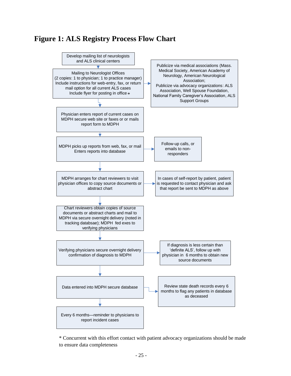### <span id="page-26-0"></span>**Figure 1: ALS Registry Process Flow Chart**



\* Concurrent with this effort contact with patient advocacy organizations should be made to ensure data completeness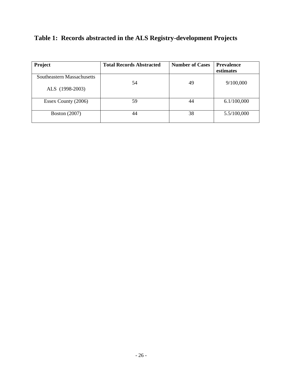### <span id="page-27-0"></span>**Table 1: Records abstracted in the ALS Registry-development Projects**

| Project                    | <b>Total Records Abstracted</b> | <b>Number of Cases</b> | <b>Prevalence</b><br>estimates |
|----------------------------|---------------------------------|------------------------|--------------------------------|
| Southeastern Massachusetts | 54                              | 49                     | 9/100,000                      |
| ALS (1998-2003)            |                                 |                        |                                |
| Essex County (2006)        | 59                              | 44                     | 6.1/100,000                    |
| <b>Boston</b> (2007)       | 44                              | 38                     | 5.5/100,000                    |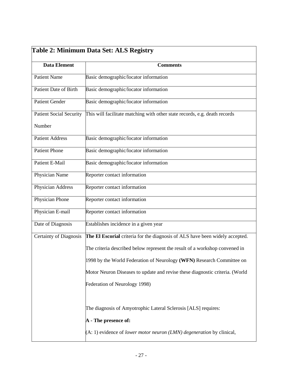<span id="page-28-0"></span>

| Table 2: Minimum Data Set: ALS Registry |                                                                                                |  |  |  |  |
|-----------------------------------------|------------------------------------------------------------------------------------------------|--|--|--|--|
| <b>Data Element</b>                     | <b>Comments</b>                                                                                |  |  |  |  |
| <b>Patient Name</b>                     | Basic demographic/locator information                                                          |  |  |  |  |
| Patient Date of Birth                   | Basic demographic/locator information                                                          |  |  |  |  |
| <b>Patient Gender</b>                   | Basic demographic/locator information                                                          |  |  |  |  |
| <b>Patient Social Security</b>          | This will facilitate matching with other state records, e.g. death records                     |  |  |  |  |
| Number                                  |                                                                                                |  |  |  |  |
| <b>Patient Address</b>                  | Basic demographic/locator information                                                          |  |  |  |  |
| <b>Patient Phone</b>                    | Basic demographic/locator information                                                          |  |  |  |  |
| Patient E-Mail                          | Basic demographic/locator information                                                          |  |  |  |  |
| Physician Name                          | Reporter contact information                                                                   |  |  |  |  |
| Physician Address                       | Reporter contact information                                                                   |  |  |  |  |
| Physician Phone                         | Reporter contact information                                                                   |  |  |  |  |
| Physician E-mail                        | Reporter contact information                                                                   |  |  |  |  |
| Date of Diagnosis                       | Establishes incidence in a given year                                                          |  |  |  |  |
| <b>Certainty of Diagnosis</b>           | The El Escorial criteria for the diagnosis of ALS have been widely accepted.                   |  |  |  |  |
|                                         | The criteria described below represent the result of a workshop convened in                    |  |  |  |  |
|                                         | 1998 by the World Federation of Neurology (WFN) Research Committee on                          |  |  |  |  |
|                                         | Motor Neuron Diseases to update and revise these diagnostic criteria. (World                   |  |  |  |  |
|                                         | Federation of Neurology 1998)                                                                  |  |  |  |  |
|                                         |                                                                                                |  |  |  |  |
|                                         | The diagnosis of Amyotrophic Lateral Sclerosis [ALS] requires:                                 |  |  |  |  |
|                                         | A - The presence of:                                                                           |  |  |  |  |
|                                         | $(A: 1)$ evidence of <i>lower motor neuron</i> ( <i>LMN</i> ) <i>degeneration</i> by clinical, |  |  |  |  |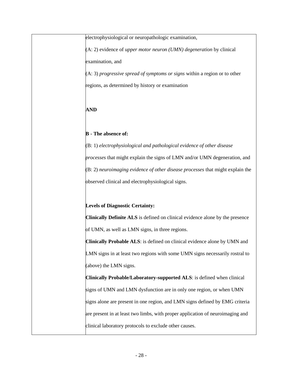| electrophysiological or neuropathologic examination,                             |
|----------------------------------------------------------------------------------|
| $(A: 2)$ evidence of <i>upper motor neuron (UMN)</i> degeneration by clinical    |
| examination, and                                                                 |
| $(A: 3)$ progressive spread of symptoms or signs within a region or to other     |
| regions, as determined by history or examination                                 |
| <b>AND</b>                                                                       |
|                                                                                  |
| <b>B</b> - The absence of:                                                       |
| $(B: 1)$ electrophysiological and pathological evidence of other disease         |
| processes that might explain the signs of LMN and/or UMN degeneration, and       |
| $(B: 2)$ neuroimaging evidence of other disease processes that might explain the |
| observed clinical and electrophysiological signs.                                |
| <b>Levels of Diagnostic Certainty:</b>                                           |
| Clinically Definite ALS is defined on clinical evidence alone by the presence    |
| of UMN, as well as LMN signs, in three regions.                                  |
| <b>Clinically Probable ALS:</b> is defined on clinical evidence alone by UMN and |
| LMN signs in at least two regions with some UMN signs necessarily rostral to     |
| (above) the LMN signs.                                                           |
| Clinically Probable/Laboratory-supported ALS: is defined when clinical           |
| signs of UMN and LMN dysfunction are in only one region, or when UMN             |
| signs alone are present in one region, and LMN signs defined by EMG criteria     |
| are present in at least two limbs, with proper application of neuroimaging and   |
| clinical laboratory protocols to exclude other causes.                           |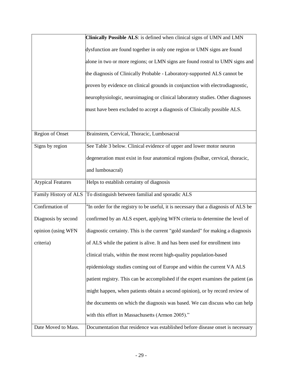|                          | Clinically Possible ALS: is defined when clinical signs of UMN and LMN              |
|--------------------------|-------------------------------------------------------------------------------------|
|                          | dysfunction are found together in only one region or UMN signs are found            |
|                          | alone in two or more regions; or LMN signs are found rostral to UMN signs and       |
|                          | the diagnosis of Clinically Probable - Laboratory-supported ALS cannot be           |
|                          | proven by evidence on clinical grounds in conjunction with electrodiagnostic,       |
|                          | neurophysiologic, neuroimaging or clinical laboratory studies. Other diagnoses      |
|                          | must have been excluded to accept a diagnosis of Clinically possible ALS.           |
|                          |                                                                                     |
| Region of Onset          | Brainstem, Cervical, Thoracic, Lumbosacral                                          |
| Signs by region          | See Table 3 below. Clinical evidence of upper and lower motor neuron                |
|                          | degeneration must exist in four anatomical regions (bulbar, cervical, thoracic,     |
|                          | and lumbosacral)                                                                    |
| <b>Atypical Features</b> | Helps to establish certainty of diagnosis                                           |
| Family History of ALS    | To distinguish between familial and sporadic ALS                                    |
| Confirmation of          | "In order for the registry to be useful, it is necessary that a diagnosis of ALS be |
| Diagnosis by second      | confirmed by an ALS expert, applying WFN criteria to determine the level of         |
| opinion (using WFN       | diagnostic certainty. This is the current "gold standard" for making a diagnosis    |
| criteria)                | of ALS while the patient is alive. It and has been used for enrollment into         |
|                          | clinical trials, within the most recent high-quality population-based               |
|                          | epidemiology studies coming out of Europe and within the current VA ALS             |
|                          | patient registry. This can be accomplished if the expert examines the patient (as   |
|                          | might happen, when patients obtain a second opinion), or by record review of        |
|                          | the documents on which the diagnosis was based. We can discuss who can help         |
|                          | with this effort in Massachusetts (Armon 2005)."                                    |
| Date Moved to Mass.      | Documentation that residence was established before disease onset is necessary      |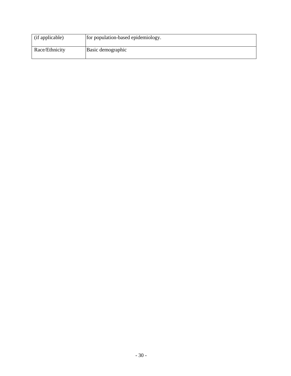| (if applicable) | for population-based epidemiology. |
|-----------------|------------------------------------|
| Race/Ethnicity  | Basic demographic                  |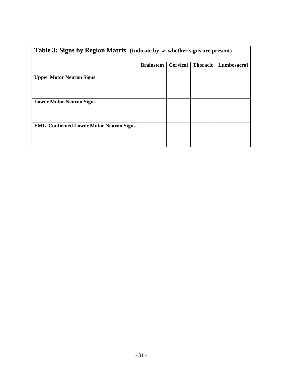<span id="page-32-0"></span>

| Table 3: Signs by Region Matrix (Indicate by $\vee$ whether signs are present) |                  |                 |                 |             |  |
|--------------------------------------------------------------------------------|------------------|-----------------|-----------------|-------------|--|
|                                                                                | <b>Brainstem</b> | <b>Cervical</b> | <b>Thoracic</b> | Lumbosacral |  |
| <b>Upper Motor Neuron Signs</b>                                                |                  |                 |                 |             |  |
| <b>Lower Motor Neuron Signs</b>                                                |                  |                 |                 |             |  |
| <b>EMG-Confirmed Lower Motor Neuron Signs</b>                                  |                  |                 |                 |             |  |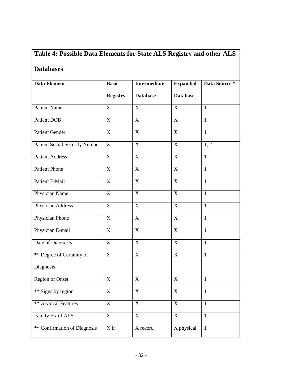### <span id="page-33-0"></span>**Databases**

| Data Element                          | <b>Basic</b>          | <b>Intermediate</b> | <b>Expanded</b> | Data Source * |  |
|---------------------------------------|-----------------------|---------------------|-----------------|---------------|--|
|                                       | <b>Registry</b>       | <b>Database</b>     | <b>Database</b> |               |  |
| <b>Patient Name</b>                   | X                     | $\mathbf X$         | $\mathbf X$     | $\mathbf{1}$  |  |
| <b>Patient DOB</b>                    | $\mathbf X$           | $\mathbf X$         | $\mathbf X$     | $\mathbf{1}$  |  |
| <b>Patient Gender</b>                 | $\mathbf X$           | $\mathbf X$         | $\mathbf X$     | $\mathbf{1}$  |  |
| <b>Patient Social Security Number</b> | X                     | $\mathbf X$         | $\mathbf X$     | 1, 2          |  |
| <b>Patient Address</b>                | $\overline{X}$        | $\overline{X}$      | $\overline{X}$  | $\mathbf{1}$  |  |
| <b>Patient Phone</b>                  | $\overline{X}$        | $\overline{X}$      | $\overline{X}$  | $\mathbf{1}$  |  |
| Patient E-Mail                        | $\overline{\text{X}}$ | $\overline{X}$      | $\overline{X}$  | $\mathbf{1}$  |  |
| Physician Name                        | X                     | $\mathbf X$         | $\mathbf X$     | $\mathbf{1}$  |  |
| Physician Address                     | X                     | $\mathbf X$         | $\mathbf X$     | $\mathbf{1}$  |  |
| <b>Physician Phone</b>                | $\overline{\text{X}}$ | $\overline{X}$      | $\overline{X}$  | $\mathbf{1}$  |  |
| Physician E-mail                      | X                     | $\mathbf X$         | $\overline{X}$  | $\mathbf{1}$  |  |
| Date of Diagnosis                     | $\overline{X}$        | $\overline{X}$      | $\overline{X}$  | $\mathbf{1}$  |  |
| ** Degree of Certainty of             | $\overline{X}$        | $\mathbf X$         | $\overline{X}$  | $\mathbf{1}$  |  |
| Diagnosis                             |                       |                     |                 |               |  |
| Region of Onset                       | X                     | X                   | X               | $\mathbf{1}$  |  |
| ** Signs by region                    | $\mathbf X$           | X                   | $\mathbf X$     | $\mathbf{1}$  |  |
| ** Atypical Features                  | $\mathbf X$           | $\mathbf X$         | $\mathbf X$     | $\mathbf{1}$  |  |
| Family Hx of ALS                      | $\mathbf X$           | X                   | $\mathbf X$     | $\mathbf{1}$  |  |
| ** Confirmation of Diagnosis          | $\overline{X}$ if     | X record            | X physical      | $\mathbf{1}$  |  |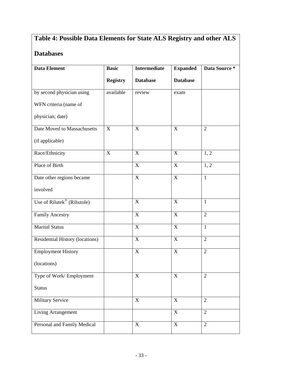### **Databases**

| <b>Data Element</b>             | <b>Basic</b>    | <b>Intermediate</b> | <b>Expanded</b>           | Data Source *  |  |
|---------------------------------|-----------------|---------------------|---------------------------|----------------|--|
|                                 | <b>Registry</b> | <b>Database</b>     | <b>Database</b>           |                |  |
| by second physician using       | available       | review              | exam                      |                |  |
| WFN criteria (name of           |                 |                     |                           |                |  |
| physician; date)                |                 |                     |                           |                |  |
| Date Moved to Massachusetts     | X               | $\mathbf X$         | $\boldsymbol{\mathrm{X}}$ | $\overline{2}$ |  |
| (if applicable)                 |                 |                     |                           |                |  |
| Race/Ethnicity                  | X               | $\mathbf X$         | $\mathbf X$               | 1, 2           |  |
| Place of Birth                  |                 | $\overline{X}$      | $\overline{X}$            | 1, 2           |  |
| Date other regions became       |                 | X                   | $\mathbf X$               | $\mathbf{1}$   |  |
| involved                        |                 |                     |                           |                |  |
| Use of Rilutek® (Riluzole)      |                 | X                   | $\mathbf X$               | $\mathbf{1}$   |  |
| <b>Family Ancestry</b>          |                 | $\mathbf X$         | $\mathbf X$               | $\overline{2}$ |  |
| Marital Status                  |                 | $\mathbf X$         | $\overline{X}$            | $\mathbf{1}$   |  |
| Residential History (locations) |                 | $\overline{X}$      | $\overline{X}$            | $\overline{2}$ |  |
| <b>Employment History</b>       |                 | $\mathbf X$         | $\mathbf X$               | $\overline{2}$ |  |
| (locations)                     |                 |                     |                           |                |  |
| Type of Work/Employment         |                 | $\mathbf X$         | X                         | $\overline{2}$ |  |
| <b>Status</b>                   |                 |                     |                           |                |  |
| Military Service                |                 | $\mathbf X$         | $\mathbf X$               | $\overline{2}$ |  |
| <b>Living Arrangement</b>       |                 |                     | $\mathbf X$               | $\overline{2}$ |  |
| Personal and Family Medical     |                 | $\mathbf X$         | $\mathbf X$               | $\overline{2}$ |  |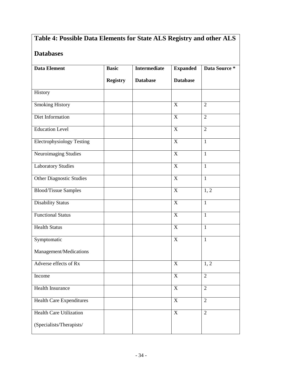### **Databases**

| <b>Data Element</b>              | <b>Basic</b>    | <b>Intermediate</b> | <b>Expanded</b> | Data Source *     |
|----------------------------------|-----------------|---------------------|-----------------|-------------------|
|                                  | <b>Registry</b> | <b>Database</b>     | <b>Database</b> |                   |
| History                          |                 |                     |                 |                   |
| <b>Smoking History</b>           |                 |                     | $\mathbf X$     | $\overline{2}$    |
| Diet Information                 |                 |                     | $\overline{X}$  | $\overline{2}$    |
| <b>Education Level</b>           |                 |                     | $\mathbf X$     | $\overline{2}$    |
| <b>Electrophysiology Testing</b> |                 |                     | $\mathbf X$     | $\mathbf{1}$      |
| Neuroimaging Studies             |                 |                     | $\overline{X}$  | $\mathbf{1}$      |
| <b>Laboratory Studies</b>        |                 |                     | $\mathbf X$     | $\mathbf{1}$      |
| <b>Other Diagnostic Studies</b>  |                 |                     | $\mathbf X$     | $\mathbf{1}$      |
| <b>Blood/Tissue Samples</b>      |                 |                     | $\mathbf X$     | 1, 2              |
| <b>Disability Status</b>         |                 |                     | $\mathbf X$     | $\mathbf{1}$      |
| <b>Functional Status</b>         |                 |                     | $\overline{X}$  | $\mathbf{1}$      |
| <b>Health Status</b>             |                 |                     | $\overline{X}$  | $\mathbf{1}$      |
| Symptomatic                      |                 |                     | $\overline{X}$  | $\mathbf{1}$      |
| Management/Medications           |                 |                     |                 |                   |
| Adverse effects of Rx            |                 |                     | X               | $1, \overline{2}$ |
| Income                           |                 |                     | $\mathbf X$     | $\sqrt{2}$        |
| Health Insurance                 |                 |                     | $\mathbf X$     | $\overline{2}$    |
| <b>Health Care Expenditures</b>  |                 |                     | $\mathbf X$     | $\overline{2}$    |
| <b>Health Care Utilization</b>   |                 |                     | $\mathbf X$     | $\overline{2}$    |
| (Specialists/Therapists/         |                 |                     |                 |                   |